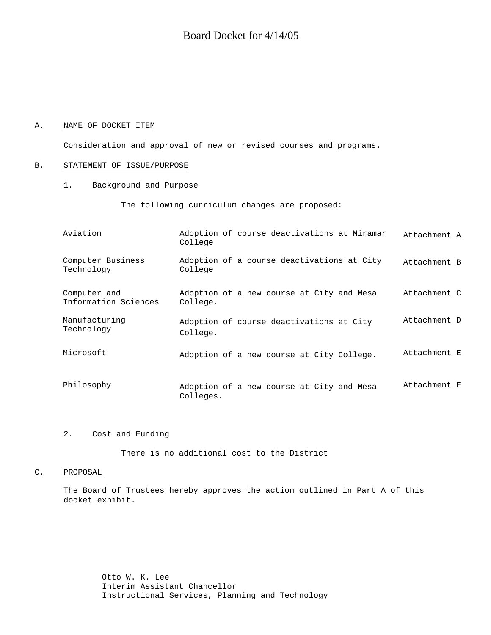#### A. NAME OF DOCKET ITEM

Consideration and approval of new or revised courses and programs.

#### B. STATEMENT OF ISSUE/PURPOSE

1. Background and Purpose

The following curriculum changes are proposed:

| Aviation                             | College   | Adoption of course deactivations at Miramar | Attachment A |
|--------------------------------------|-----------|---------------------------------------------|--------------|
| Computer Business<br>Technology      | College   | Adoption of a course deactivations at City  | Attachment B |
| Computer and<br>Information Sciences | College.  | Adoption of a new course at City and Mesa   | Attachment C |
| Manufacturing<br>Technology          | College.  | Adoption of course deactivations at City    | Attachment D |
| Microsoft                            |           | Adoption of a new course at City College.   | Attachment E |
| Philosophy                           | Colleges. | Adoption of a new course at City and Mesa   | Attachment F |

#### 2. Cost and Funding

There is no additional cost to the District

#### C. PROPOSAL

The Board of Trustees hereby approves the action outlined in Part A of this docket exhibit.

> Otto W. K. Lee Interim Assistant Chancellor Instructional Services, Planning and Technology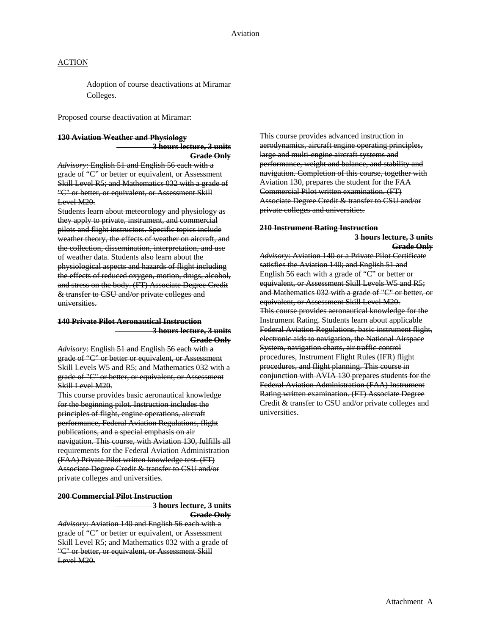Adoption of course deactivations at Miramar Colleges.

Proposed course deactivation at Miramar:

#### **130 Aviation Weather and Physiology**

 **3 hours lecture, 3 units**

**Grade Only** *Advisory*: English 51 and English 56 each with a grade of "C" or better or equivalent, or Assessment Skill Level R5; and Mathematics 032 with a grade of "C" or better, or equivalent, or Assessment Skill Level M20.

Students learn about meteorology and physiology as they apply to private, instrument, and commercial pilots and flight instructors. Specific topics include weather theory, the effects of weather on aircraft, and the collection, dissemination, interpretation, and use of weather data. Students also learn about the physiological aspects and hazards of flight including the effects of reduced oxygen, motion, drugs, alcohol, and stress on the body. (FT) Associate Degree Credit & transfer to CSU and/or private colleges and universities.

#### **140 Private Pilot Aeronautical Instruction 3 hours lecture, 3 units Grade Only**

*Advisory*: English 51 and English 56 each with a grade of "C" or better or equivalent, or Assessment Skill Levels W5 and R5; and Mathematics 032 with a grade of "C" or better, or equivalent, or Assessment Skill Level M20.

This course provides basic aeronautical knowledge for the beginning pilot. Instruction includes the principles of flight, engine operations, aircraft performance, Federal Aviation Regulations, flight publications, and a special emphasis on air navigation. This course, with Aviation 130, fulfills all requirements for the Federal Aviation Administration (FAA) Private Pilot written knowledge test. (FT) Associate Degree Credit & transfer to CSU and/or private colleges and universities.

#### **200 Commercial Pilot Instruction**

 **3 hours lecture, 3 units Grade Only**

*Advisory*: Aviation 140 and English 56 each with a grade of "C" or better or equivalent, or Assessment Skill Level R5; and Mathematics 032 with a grade of "C" or better, or equivalent, or Assessment Skill Level M20.

This course provides advanced instruction in aerodynamics, aircraft engine operating principles, large and multi-engine aircraft systems and performance, weight and balance, and stability and navigation. Completion of this course, together with Aviation 130, prepares the student for the FAA Commercial Pilot written examination. (FT) Associate Degree Credit & transfer to CSU and/or private colleges and universities.

#### **210 Instrument Rating Instruction 3 hours lecture, 3 units Grade Only**

*Advisory*: Aviation 140 or a Private Pilot Certificate satisfies the Aviation 140; and English 51 and English 56 each with a grade of "C" or better or equivalent, or Assessment Skill Levels W5 and R5; and Mathematics 032 with a grade of "C" or better, or equivalent, or Assessment Skill Level M20. This course provides aeronautical knowledge for the Instrument Rating. Students learn about applicable Federal Aviation Regulations, basic instrument flight, electronic aids to navigation, the National Airspace System, navigation charts, air traffic control procedures, Instrument Flight Rules (IFR) flight procedures, and flight planning. This course in conjunction with AVIA 130 prepares students for the Federal Aviation Administration (FAA) Instrument Rating written examination. (FT) Associate Degree Credit & transfer to CSU and/or private colleges and universities.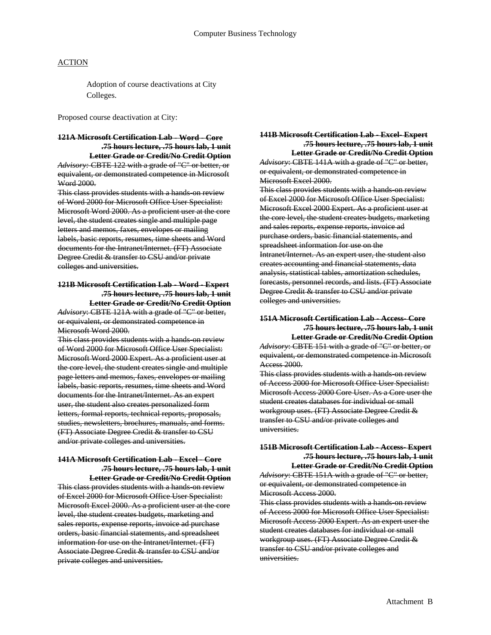Adoption of course deactivations at City Colleges.

Proposed course deactivation at City:

#### **121A Microsoft Certification Lab - Word - Core .75 hours lecture, .75 hours lab, 1 unit**

**Letter Grade or Credit/No Credit Option** *Advisory:* CBTE 122 with a grade of "C" or better, or equivalent, or demonstrated competence in Microsoft Word 2000.

This class provides students with a hands-on review of Word 2000 for Microsoft Office User Specialist: Microsoft Word 2000. As a proficient user at the core level, the student creates single and multiple page letters and memos, faxes, envelopes or mailing labels, basic reports, resumes, time sheets and Word documents for the Intranet/Internet. (FT) Associate Degree Credit & transfer to CSU and/or private colleges and universities.

#### **121B Microsoft Certification Lab - Word - Expert .75 hours lecture, .75 hours lab, 1 unit Letter Grade or Credit/No Credit Option**

*Advisory*: CBTE 121A with a grade of "C" or better, or equivalent, or demonstrated competence in Microsoft Word 2000.

This class provides students with a hands-on review of Word 2000 for Microsoft Office User Specialist: Microsoft Word 2000 Expert. As a proficient user at the core level, the student creates single and multiple page letters and memos, faxes, envelopes or mailing labels, basic reports, resumes, time sheets and Word documents for the Intranet/Internet. As an expert user, the student also creates personalized form letters, formal reports, technical reports, proposals, studies, newsletters, brochures, manuals, and forms. (FT) Associate Degree Credit & transfer to CSU and/or private colleges and universities.

#### **141A Microsoft Certification Lab - Excel - Core .75 hours lecture, .75 hours lab, 1 unit**

**Letter Grade or Credit/No Credit Option** This class provides students with a hands-on review of Excel 2000 for Microsoft Office User Specialist: Microsoft Excel 2000. As a proficient user at the core level, the student creates budgets, marketing and sales reports, expense reports, invoice ad purchase orders, basic financial statements, and spreadsheet information for use on the Intranet/Internet. (FT) Associate Degree Credit & transfer to CSU and/or private colleges and universities.

#### **141B Microsoft Certification Lab - Excel- Expert .75 hours lecture, .75 hours lab, 1 unit Letter Grade or Credit/No Credit Option**

*Advisory*: CBTE 141A with a grade of "C" or better, or equivalent, or demonstrated competence in Microsoft Excel 2000.

This class provides students with a hands on review of Excel 2000 for Microsoft Office User Specialist: Microsoft Excel 2000 Expert. As a proficient user at the core level, the student creates budgets, marketing and sales reports, expense reports, invoice ad purchase orders, basic financial statements, and spreadsheet information for use on the Intranet/Internet. As an expert user, the student also creates accounting and financial statements, data analysis, statistical tables, amortization schedules, forecasts, personnel records, and lists. (FT) Associate Degree Credit & transfer to CSU and/or private colleges and universities.

#### **151A Microsoft Certification Lab - Access- Core .75 hours lecture, .75 hours lab, 1 unit Letter Grade or Credit/No Credit Option**

*Advisory*: CBTE 151 with a grade of "C" or better, or equivalent, or demonstrated competence in Microsoft Access 2000.

This class provides students with a hands-on review of Access 2000 for Microsoft Office User Specialist: Microsoft Access 2000 Core User. As a Core user the student creates databases for individual or small workgroup uses. (FT) Associate Degree Credit & transfer to CSU and/or private colleges and universities.

#### **151B Microsoft Certification Lab - Access- Expert .75 hours lecture, .75 hours lab, 1 unit Letter Grade or Credit/No Credit Option**

*Advisory*: CBTE 151A with a grade of "C" or better, or equivalent, or demonstrated competence in Microsoft Access 2000.

This class provides students with a hands on review of Access 2000 for Microsoft Office User Specialist: Microsoft Access 2000 Expert. As an expert user the student creates databases for individual or small workgroup uses. (FT) Associate Degree Credit & transfer to CSU and/or private colleges and universities.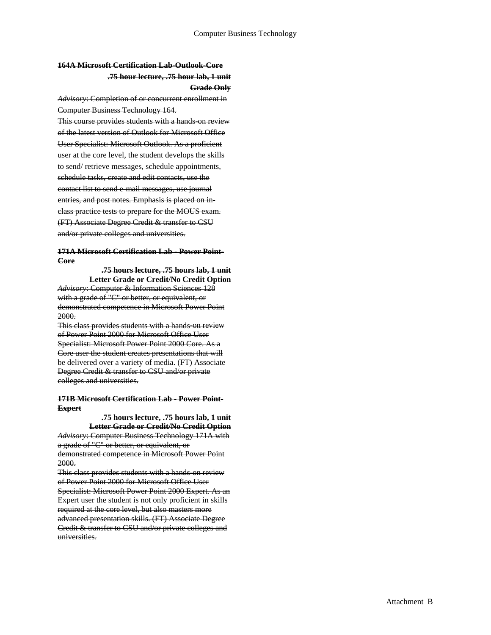#### **164A Microsoft Certification Lab-Outlook-Core .75 hour lecture, .75 hour lab, 1 unit Grade Only**

*Advisory*: Completion of or concurrent enrollment in Computer Business Technology 164.

This course provides students with a hands-on review of the latest version of Outlook for Microsoft Office User Specialist: Microsoft Outlook. As a proficient user at the core level, the student develops the skills to send/ retrieve messages, schedule appointments, schedule tasks, create and edit contacts, use the contact list to send e-mail messages, use journal entries, and post notes. Emphasis is placed on inclass practice tests to prepare for the MOUS exam. (FT) Associate Degree Credit & transfer to CSU and/or private colleges and universities.

**171A Microsoft Certification Lab - Power Point-Core** 

> **.75 hours lecture, .75 hours lab, 1 unit Letter Grade or Credit/No Credit Option**

*Advisory*: Computer & Information Sciences 128 with a grade of "C" or better, or equivalent, or demonstrated competence in Microsoft Power Point 2000.

This class provides students with a hands-on review of Power Point 2000 for Microsoft Office User Specialist: Microsoft Power Point 2000 Core. As a Core user the student creates presentations that will be delivered over a variety of media. (FT) Associate Degree Credit & transfer to CSU and/or private colleges and universities.

#### **171B Microsoft Certification Lab - Power Point-Expert**

**.75 hours lecture, .75 hours lab, 1 unit Letter Grade or Credit/No Credit Option** *Advisory*: Computer Business Technology 171A with a grade of "C" or better, or equivalent, or demonstrated competence in Microsoft Power Point 2000.

This class provides students with a hands-on review of Power Point 2000 for Microsoft Office User Specialist: Microsoft Power Point 2000 Expert. As an Expert user the student is not only proficient in skills required at the core level, but also masters more advanced presentation skills. (FT) Associate Degree Credit & transfer to CSU and/or private colleges and universities.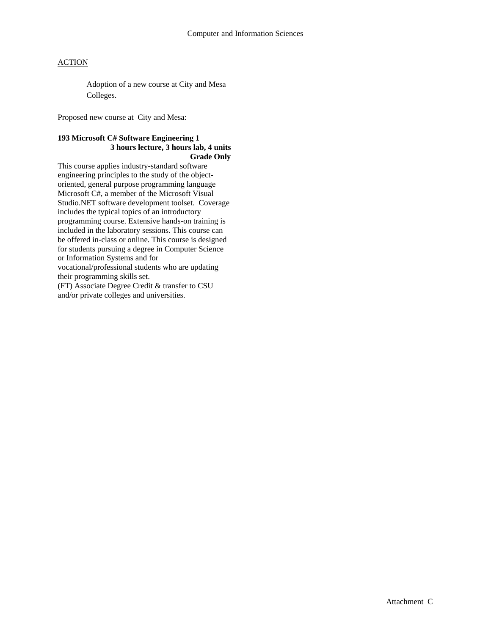Adoption of a new course at City and Mesa Colleges.

Proposed new course at City and Mesa:

#### **193 Microsoft C# Software Engineering 1 3 hours lecture, 3 hours lab, 4 units Grade Only**

This course applies industry-standard software engineering principles to the study of the objectoriented, general purpose programming language Microsoft C#, a member of the Microsoft Visual Studio.NET software development toolset. Coverage includes the typical topics of an introductory programming course. Extensive hands-on training is included in the laboratory sessions. This course can be offered in-class or online. This course is designed for students pursuing a degree in Computer Science or Information Systems and for vocational/professional students who are updating their programming skills set.

(FT) Associate Degree Credit & transfer to CSU and/or private colleges and universities.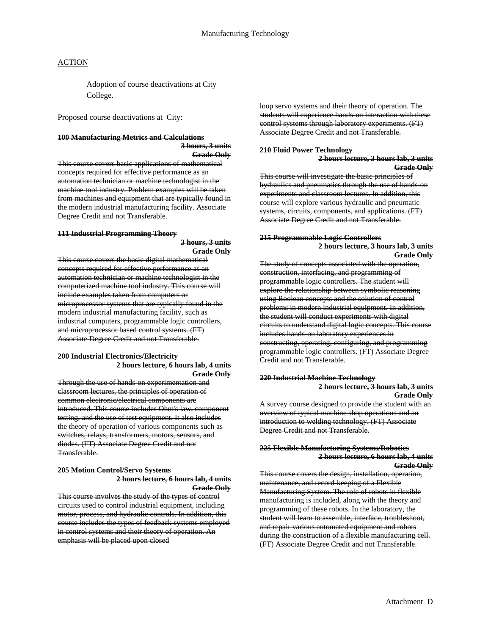Adoption of course deactivations at City College.

Proposed course deactivations at City:

## **100 Manufacturing Metrics and Calculations**

concepts required for effective performance as an automation technician or machine technologist in the machine tool industry. Problem examples will be taken from machines and equipment that are typically found in the modern industrial manufacturing facility. Associate Degree Credit and not Transferable.

concepts required for effective performance as an automation technician or machine technologist in the computerized machine tool industry. This course will include examples taken from computers or microprocessor systems that are typically found in the modern industrial manufacturing facility, such as industrial computers, programmable logic controllers, and microprocessor based control systems. (FT) Associate Degree Credit and not Transferable.

#### Credit and not Transferable. **200 Industrial Electronics/Electricity 2 hours lecture, 6 hours lab, 4 units**

classroom lectures, the principles of operation of common electronic/electrical components are introduced. This course includes Ohm's law, component testing, and the use of test equipment. It also includes the theory of operation of various components such as switches, relays, transformers, motors, sensors, and diodes. (FT) Associate Degree Credit and not Transferable.

#### **Grade Only 205 Motion Control/Servo Systems** This course covers the design, installation, operation, **2 hours lecture, 6 hours lab, 4 units Grade Only**

This course involves the study of the types of control circuits used to control industrial equipment, including motor, process, and hydraulic controls. In addition, this course includes the types of feedback systems employed in control systems and their theory of operation. An emphasis will be placed upon closed

loop servo systems and their theory of operation. The students will experience hands-on interaction with these control systems through laboratory experiments. (FT) Associate Degree Credit and not Transferable.

### **3 hours, 3 units**<br>**210 Fluid Power Technology**<br>**2 hours lecture, 3 hours lab, 3 units**<br>Cynde Only **Grade Only**

This course will investigate the basic principles of hydraulics and pneumatics through the use of hands on experiments and classroom lectures. In addition, this course will explore various hydraulic and pneumatic systems, circuits, components, and applications. (FT) Associate Degree Credit and not Transferable.

# 111 Industrial Programming Theory<br>3 hours, 3 units<br>This course covers the basic digital mathematical<br>This course covers the basic digital mathematical<br>The study of concepts esseciated with the operation

The study of concepts associated with the operation, construction, interfacing, and programming of programmable logic controllers. The student will explore the relationship between symbolic reasoning using Boolean concepts and the solution of control problems in modern industrial equipment. In addition, the student will conduct experiments with digital circuits to understand digital logic concepts. This course includes hands on laboratory experiences in constructing, operating, configuring, and programming programmable logic controllers. (FT) Associate Degree

#### **Grade Only 220 Industrial Machine Technology**<br>
Through the use of hands-on experimentation and<br>
220 Industrial Machine Technology **2 hours lecture, 3 hours lab, 3 units Grade Only**

A survey course designed to provide the student with an overview of typical machine shop operations and an introduction to welding technology. (FT) Associate Degree Credit and not Transferable.

#### **225 Flexible Manufacturing Systems/Robotics 2 hours lecture, 6 hours lab, 4 units**

maintenance, and record-keeping of a Flexible Manufacturing System. The role of robots in flexible manufacturing is included, along with the theory and programming of these robots. In the laboratory, the student will learn to assemble, interface, troubleshoot, and repair various automated equipment and robots during the construction of a flexible manufacturing cell. (FT) Associate Degree Credit and not Transferable.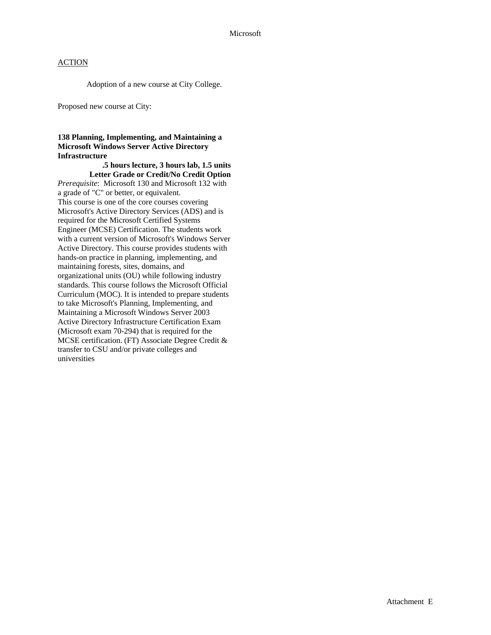Adoption of a new course at City College.

Proposed new course at City:

#### **138 Planning, Implementing, and Maintaining a Microsoft Windows Server Active Directory Infrastructure**

 **.5 hours lecture, 3 hours lab, 1.5 units Letter Grade or Credit/No Credit Option**  *Prerequisite*: Microsoft 130 and Microsoft 132 with a grade of "C" or better, or equivalent. This course is one of the core courses covering Microsoft's Active Directory Services (ADS) and is required for the Microsoft Certified Systems Engineer (MCSE) Certification. The students work with a current version of Microsoft's Windows Server Active Directory. This course provides students with hands-on practice in planning, implementing, and maintaining forests, sites, domains, and organizational units (OU) while following industry standards. This course follows the Microsoft Official Curriculum (MOC). It is intended to prepare students to take Microsoft's Planning, Implementing, and Maintaining a Microsoft Windows Server 2003 Active Directory Infrastructure Certification Exam (Microsoft exam 70-294) that is required for the MCSE certification. (FT) Associate Degree Credit & transfer to CSU and/or private colleges and universities